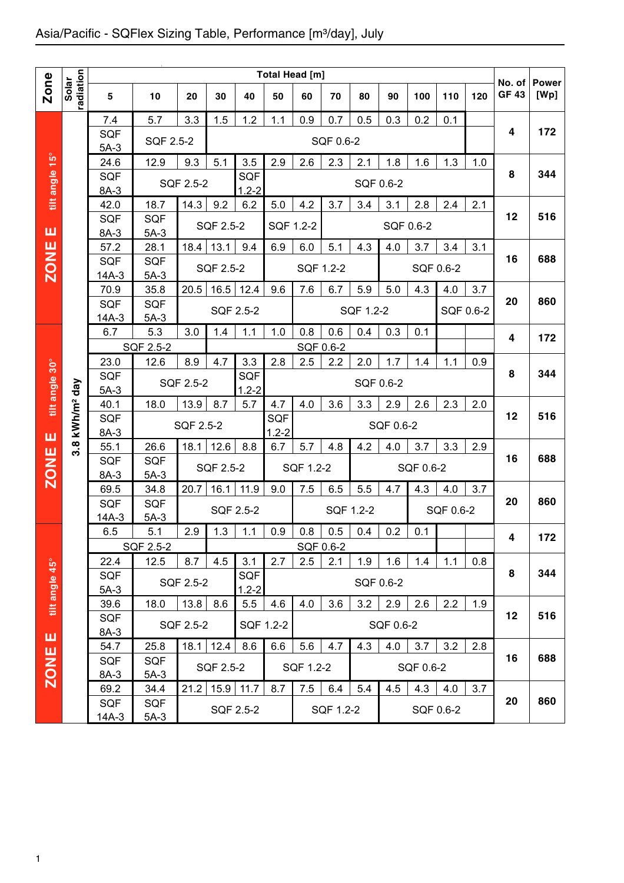|                |                    |                |                   |           |           |                  | Total Head [m] |                  |           |               |           |           |           |           |                        |                      |
|----------------|--------------------|----------------|-------------------|-----------|-----------|------------------|----------------|------------------|-----------|---------------|-----------|-----------|-----------|-----------|------------------------|----------------------|
| <b>Zone</b>    | radiation<br>Solar | $\sqrt{5}$     | 10                | 20        | 30        | 40               | 50             | 60               | 70        | 80            | 90        | 100       | 110       | 120       | No. of<br><b>GF 43</b> | <b>Power</b><br>[Wp] |
|                |                    |                |                   |           |           |                  |                |                  |           |               |           |           |           |           |                        |                      |
|                |                    | 7.4            | 5.7               | 3.3       | 1.5       | 1.2              | 1.1            | 0.9              | 0.7       | 0.5           | 0.3       | 0.2       | 0.1       |           |                        |                      |
|                |                    | <b>SQF</b>     | SQF 2.5-2         |           |           |                  |                |                  | SQF 0.6-2 |               |           |           |           |           | 4                      | 172                  |
|                |                    | $5A-3$         |                   |           |           |                  |                |                  |           |               |           |           |           |           |                        |                      |
| tilt angle 15° |                    | 24.6           | 12.9              | 9.3       | 5.1       | 3.5              | 2.9            | 2.6              | 2.3       | 2.1           | 1.8       | 1.6       | 1.3       | 1.0       | 8                      | 344                  |
|                |                    | SQF<br>8A-3    |                   | SQF 2.5-2 |           | SQF<br>$1.2 - 2$ |                |                  |           | SQF 0.6-2     |           |           |           |           |                        |                      |
|                |                    | 42.0           | 18.7              | 14.3      | 9.2       | 6.2              | 5.0            | 4.2              | 3.7       | 3.4           | 3.1       | 2.8       | 2.4       | 2.1       |                        |                      |
|                |                    | <b>SQF</b>     | <b>SQF</b>        |           |           |                  |                |                  |           |               |           |           |           |           | 12                     | 516                  |
| ш              |                    | 8A-3           | $5A-3$            |           | SQF 2.5-2 |                  | SQF 1.2-2      |                  |           |               | SQF 0.6-2 |           |           |           |                        |                      |
|                |                    | 57.2           | 28.1              | 18.4      | 13.1      | 9.4              | 6.9            | 6.0              | 5.1       | 4.3           | 4.0       | 3.7       | 3.4       | 3.1       |                        |                      |
|                |                    | SQF            | <b>SQF</b>        |           |           |                  |                |                  |           |               |           |           |           |           | 16                     | 688                  |
| <b>ZONE</b>    |                    | $14A-3$        | $5A-3$            |           | SQF 2.5-2 |                  |                | SQF 1.2-2        |           |               |           | SQF 0.6-2 |           |           |                        |                      |
|                |                    | 70.9           | 35.8              | 20.5      | 16.5      | 12.4             | 9.6            | 7.6              | 6.7       | 5.9           | 5.0       | 4.3       | 4.0       | 3.7       |                        |                      |
|                |                    | <b>SQF</b>     | <b>SQF</b>        |           |           | SQF 2.5-2        |                |                  |           | SQF 1.2-2     |           |           |           | SQF 0.6-2 | 20                     | 860                  |
|                |                    | $14A-3$        | $5A-3$            |           |           |                  |                |                  |           |               |           |           |           |           |                        |                      |
|                |                    | 6.7            | 5.3               | 3.0       | 1.4       | 1.1              | 1.0            | 0.8              | 0.6       | 0.4           | 0.3       | 0.1       |           |           | 4                      | 172                  |
|                |                    | 23.0           | SQF 2.5-2<br>12.6 | 8.9       | 4.7       | 3.3              | 2.8            | SQF 0.6-2<br>2.5 | 2.2       | 2.0           | 1.7       | 1.4       | 1.1       | 0.9       |                        |                      |
|                |                    | SQF            |                   |           |           | <b>SQF</b>       |                |                  |           |               |           |           |           |           | 8                      | 344                  |
| tilt angle 30° | day                | $5A-3$         |                   | SQF 2.5-2 |           | $1.2 - 2$        |                |                  |           | SQF 0.6-2     |           |           |           |           |                        |                      |
|                |                    | 40.1           | 18.0              | 13.9      | 8.7       | 5.7              | 4.7            | 4.0              | 3.6       | 3.3           | 2.9       | 2.6       | 2.3       | 2.0       |                        |                      |
|                | kWh/m <sup>2</sup> | SQF            |                   | SQF 2.5-2 |           |                  | SQF            |                  |           |               | SQF 0.6-2 |           |           |           | 12                     | 516                  |
| ш              |                    | 8A-3           |                   |           |           |                  | $1.2 - 2$      |                  |           |               |           |           |           |           |                        |                      |
|                | $3.\overline{8}$   | 55.1           | 26.6              | 18.1      | 12.6      | 8.8              | 6.7            | 5.7              | 4.8       | 4.2           | 4.0       | 3.7       | 3.3       | 2.9       |                        |                      |
|                |                    | SQF            | <b>SQF</b>        |           | SQF 2.5-2 |                  |                | SQF 1.2-2        |           |               |           | SQF 0.6-2 |           |           | 16                     | 688                  |
| <b>ZONE</b>    |                    | $8A-3$<br>69.5 | $5A-3$<br>34.8    | 20.7      | 16.1      | 11.9             | 9.0            | 7.5              | 6.5       | 5.5           | 4.7       | 4.3       | 4.0       | 3.7       |                        |                      |
|                |                    | SQF            | SQF               |           |           |                  |                |                  |           |               |           |           |           |           | 20                     | 860                  |
|                |                    | $14A-3$        | $5A-3$            |           |           | SQF 2.5-2        |                |                  | SQF 1.2-2 |               |           |           | SQF 0.6-2 |           |                        |                      |
|                |                    | 6.5            | 5.1               | 2.9       |           | $1.3$   1.1      | 0.9            | 0.8              |           | $0.5$ 0.4 0.2 |           | 0.1       |           |           | 4                      | 172                  |
|                |                    |                | SQF 2.5-2         |           |           |                  |                |                  | SQF 0.6-2 |               |           |           |           |           |                        |                      |
|                |                    | 22.4           | 12.5              | 8.7       | 4.5       | 3.1              | 2.7            | 2.5              | 2.1       | 1.9           | 1.6       | 1.4       | 1.1       | 0.8       |                        |                      |
| tilt angle 45° |                    | SQF            |                   | SQF 2.5-2 |           | SQF              |                |                  |           | SQF 0.6-2     |           |           |           |           | 8                      | 344                  |
|                |                    | $5A-3$         |                   |           |           | $1.2 - 2$        |                |                  |           |               |           |           |           |           |                        |                      |
|                |                    | 39.6           | 18.0              | 13.8      | 8.6       | 5.5              | 4.6            | 4.0              | 3.6       | 3.2           | 2.9       | 2.6       | 2.2       | 1.9       | 12                     | 516                  |
|                |                    | <b>SQF</b>     |                   | SQF 2.5-2 |           | SQF 1.2-2        |                |                  |           |               | SQF 0.6-2 |           |           |           |                        |                      |
| ш              |                    | $8A-3$<br>54.7 | 25.8              | 18.1      | 12.4      | 8.6              | 6.6            | 5.6              | 4.7       | 4.3           | 4.0       | 3.7       | 3.2       | 2.8       |                        |                      |
| <b>ZONE</b>    |                    | <b>SQF</b>     | SQF               |           |           |                  |                |                  |           |               |           |           |           |           | 16                     | 688                  |
|                |                    | 8A-3           | $5A-3$            |           | SQF 2.5-2 |                  |                | SQF 1.2-2        |           |               |           | SQF 0.6-2 |           |           |                        |                      |
|                |                    | 69.2           | 34.4              | 21.2      | 15.9      | 11.7             | 8.7            | 7.5              | 6.4       | 5.4           | 4.5       | 4.3       | 4.0       | 3.7       |                        |                      |
|                |                    | SQF            | SQF               |           |           | SQF 2.5-2        |                |                  |           |               |           |           |           |           | 20                     | 860                  |
|                |                    | $14A-3$        | $5A-3$            |           |           |                  |                |                  | SQF 1.2-2 |               |           |           | SQF 0.6-2 |           |                        |                      |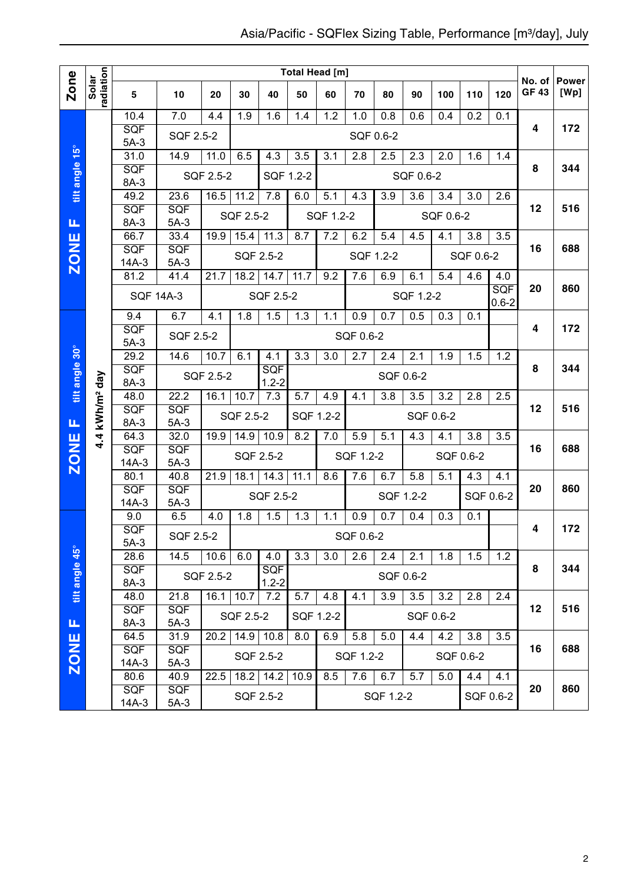|                |                            |                      |                      |           |             |            | Total Head [m] |           |           |                  |                  |                  |                  |                  |                        |                      |
|----------------|----------------------------|----------------------|----------------------|-----------|-------------|------------|----------------|-----------|-----------|------------------|------------------|------------------|------------------|------------------|------------------------|----------------------|
| Zone           | radiation<br>Solar         | 5                    | 10                   | 20        | 30          | 40         | 50             | 60        | 70        | 80               | 90               | 100              | 110              | 120              | No. of<br><b>GF 43</b> | <b>Power</b><br>[Wp] |
|                |                            | 10.4                 | 7.0                  | 4.4       | 1.9         | 1.6        | 1.4            | 1.2       | 1.0       | 0.8              | 0.6              | 0.4              | 0.2              | 0.1              |                        |                      |
|                |                            | <b>SQF</b><br>$5A-3$ | SQF 2.5-2            |           |             |            |                |           | SQF 0.6-2 |                  |                  |                  |                  |                  | 4                      | 172                  |
|                |                            | 31.0                 | 14.9                 | 11.0      | 6.5         | 4.3        | 3.5            | 3.1       | 2.8       | 2.5              | 2.3              | 2.0              | 1.6              | 1.4              |                        |                      |
| tilt angle 15° |                            | SQF                  |                      | SQF 2.5-2 |             | SQF 1.2-2  |                |           |           |                  | SQF 0.6-2        |                  |                  |                  | 8                      | 344                  |
|                |                            | 8A-3                 |                      |           |             |            |                |           |           |                  |                  |                  |                  |                  |                        |                      |
|                |                            | 49.2<br>SQF          | 23.6<br><b>SQF</b>   | 16.5      | 11.2        | 7.8        | 6.0            | 5.1       | 4.3       | 3.9              | $\overline{3.6}$ | $\overline{3.4}$ | $\overline{3.0}$ | $\overline{2.6}$ | 12                     | 516                  |
| Щ              |                            | 8A-3                 | $5A-3$               |           | SQF 2.5-2   |            |                | SQF 1.2-2 |           |                  |                  | SQF 0.6-2        |                  |                  |                        |                      |
|                |                            | 66.7                 | 33.4                 | 19.9      | 15.4        | 11.3       | 8.7            | 7.2       | 6.2       | 5.4              | 4.5              | 4.1              | 3.8              | 3.5              |                        |                      |
| <b>ZONE</b>    |                            | SQF                  | <b>SQF</b>           |           |             | SQF 2.5-2  |                |           |           | SQF 1.2-2        |                  |                  | SQF 0.6-2        |                  | 16                     | 688                  |
|                |                            | $14A-3$<br>81.2      | $5A-3$<br>41.4       | 21.7      | 18.2        | 14.7       | 11.7           | 9.2       | 7.6       | 6.9              | 6.1              | 5.4              | 4.6              | 4.0              |                        |                      |
|                |                            |                      |                      |           |             |            |                |           |           |                  |                  |                  |                  | <b>SQF</b>       | 20                     | 860                  |
|                |                            | <b>SQF 14A-3</b>     |                      |           |             | SQF 2.5-2  |                |           |           |                  | SQF 1.2-2        |                  |                  | $0.6 - 2$        |                        |                      |
|                |                            | 9.4                  | 6.7                  | 4.1       | 1.8         | 1.5        | 1.3            | 1.1       | 0.9       | 0.7              | 0.5              | 0.3              | 0.1              |                  |                        |                      |
|                |                            | SQF<br>$5A-3$        | SQF 2.5-2            |           |             |            |                |           | SQF 0.6-2 |                  |                  |                  |                  |                  | 4                      | 172                  |
|                |                            | 29.2                 | 14.6                 | 10.7      | 6.1         | 4.1        | 3.3            | 3.0       | 2.7       | 2.4              | 2.1              | 1.9              | 1.5              | 1.2              |                        |                      |
| tilt angle 30° |                            | SQF                  |                      | SQF 2.5-2 |             | <b>SQF</b> |                |           |           |                  | SQF 0.6-2        |                  |                  |                  | 8                      | 344                  |
|                |                            | 8A-3                 |                      |           |             | $1.2 - 2$  |                |           |           |                  |                  |                  |                  |                  |                        |                      |
|                |                            | 48.0<br><b>SQF</b>   | 22.2<br><b>SQF</b>   | 16.1      | 10.7        | 7.3        | 5.7            | 4.9       | 4.1       | 3.8              | 3.5              | 3.2              | 2.8              | 2.5              | 12                     | 516                  |
| щ              | 4.4 kWh/m <sup>2</sup> day | 8A-3                 | $5A-3$               |           | SQF 2.5-2   |            | SQF 1.2-2      |           |           |                  |                  | SQF 0.6-2        |                  |                  |                        |                      |
|                |                            | 64.3                 | 32.0                 | 19.9      | 14.9        | 10.9       | 8.2            | 7.0       | 5.9       | $\overline{5.1}$ | 4.3              | 4.1              | $\overline{3.8}$ | $\overline{3.5}$ |                        |                      |
| <b>ZONE</b>    |                            | SQF                  | <b>SQF</b>           |           |             | SQF 2.5-2  |                |           | SQF 1.2-2 |                  |                  |                  | SQF 0.6-2        |                  | 16                     | 688                  |
|                |                            | $14A-3$              | $5A-3$               |           |             | 14.3       |                |           |           |                  |                  |                  |                  |                  |                        |                      |
|                |                            | 80.1<br>SQF          | 40.8<br><b>SQF</b>   | 21.9      | 18.1        |            | 11.1           | 8.6       | 7.6       | 6.7              | 5.8              | 5.1              | 4.3              | 4.1              | 20                     | 860                  |
|                |                            | $14A-3$              | $5A-3$               |           |             | SQF 2.5-2  |                |           |           |                  | SQF 1.2-2        |                  |                  | SQF 0.6-2        |                        |                      |
|                |                            | 9.0                  | 6.5                  | 4.0       | 1.8         | 1.5        | 1.3            | 1.1       | 0.9       | 0.7              | 0.4              | 0.3              | 0.1              |                  |                        |                      |
|                |                            | SQF                  | SQF 2.5-2            |           |             |            |                |           | SQF 0.6-2 |                  |                  |                  |                  |                  | 4                      | 172                  |
|                |                            | $5A-3$<br>28.6       | 14.5                 | 10.6      | 6.0         | 4.0        | 3.3            | 3.0       | 2.6       | 2.4              | 2.1              | 1.8              | 1.5              | 1.2              |                        |                      |
| tilt angle 45° |                            | SQF                  |                      |           |             | <b>SQF</b> |                |           |           |                  |                  |                  |                  |                  | 8                      | 344                  |
|                |                            | 8A-3                 |                      | SQF 2.5-2 |             | $1.2 - 2$  |                |           |           |                  | SQF 0.6-2        |                  |                  |                  |                        |                      |
|                |                            | 48.0                 | 21.8                 |           | $16.1$ 10.7 | 7.2        | 5.7            | 4.8       | 4.1       | 3.9              | 3.5              | 3.2              | 2.8              | 2.4              |                        |                      |
| щ              |                            | <b>SQF</b><br>8A-3   | <b>SQF</b><br>$5A-3$ |           | SQF 2.5-2   |            |                | SQF 1.2-2 |           |                  |                  | SQF 0.6-2        |                  |                  | 12                     | 516                  |
|                |                            | 64.5                 | 31.9                 | 20.2      | 14.9        | 10.8       | 8.0            | 6.9       | 5.8       | 5.0              | 4.4              | 4.2              | 3.8              | $\overline{3.5}$ |                        |                      |
|                |                            | <b>SQF</b>           | <b>SQF</b><br>$5A-3$ |           |             | SQF 2.5-2  |                |           | SQF 1.2-2 |                  |                  |                  | SQF 0.6-2        |                  | 16                     | 688                  |
| <b>ZONE</b>    |                            | $14A-3$              |                      |           |             |            |                |           |           |                  |                  |                  |                  |                  |                        |                      |
|                |                            | 80.6<br><b>SQF</b>   | 40.9<br><b>SQF</b>   | 22.5      | 18.2        | 14.2       | 10.9           | 8.5       | 7.6       | 6.7              | 5.7              | 5.0              | 4.4              | 4.1              | 20                     | 860                  |
|                |                            | 14A-3                | $5A-3$               |           |             | SQF 2.5-2  |                |           |           | SQF 1.2-2        |                  |                  |                  | SQF 0.6-2        |                        |                      |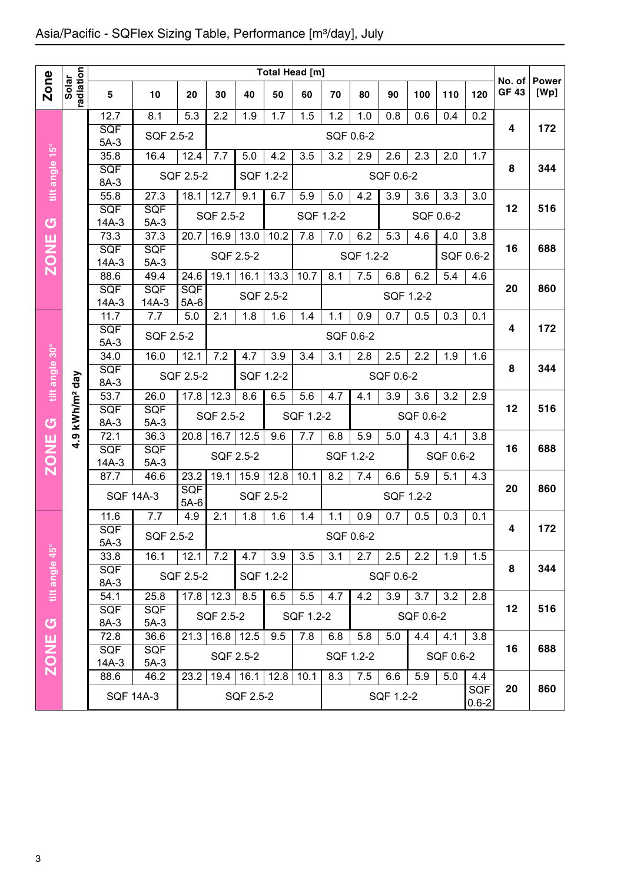|                |                       |                  |                    |                    |             |                |           | Total Head [m] |           |           |                  |                  |           |                  | No. of       | <b>Power</b> |
|----------------|-----------------------|------------------|--------------------|--------------------|-------------|----------------|-----------|----------------|-----------|-----------|------------------|------------------|-----------|------------------|--------------|--------------|
| <b>Zone</b>    | radiation<br>Solar    | 5                | 10                 | 20                 | 30          | 40             | 50        | 60             | 70        | 80        | 90               | 100              | 110       | 120              | <b>GF 43</b> | [Wp]         |
|                |                       | 12.7             | 8.1                | 5.3                | 2.2         | 1.9            | 1.7       | 1.5            | 1.2       | 1.0       | 0.8              | 0.6              | 0.4       | 0.2              |              |              |
|                |                       | SQF<br>$5A-3$    | SQF 2.5-2          |                    |             |                |           |                | SQF 0.6-2 |           |                  |                  |           |                  | 4            | 172          |
|                |                       | 35.8             | 16.4               | 12.4               | 7.7         | 5.0            | 4.2       | 3.5            | 3.2       | 2.9       | 2.6              | 2.3              | 2.0       | 1.7              |              |              |
| tilt angle 15° |                       | SQF              |                    | SQF 2.5-2          |             | SQF 1.2-2      |           |                |           |           | SQF 0.6-2        |                  |           |                  | 8            | 344          |
|                |                       | 8A-3             |                    |                    |             |                |           |                |           |           |                  |                  |           |                  |              |              |
|                |                       | 55.8<br>SQF      | 27.3<br><b>SQF</b> | 18.1               | 12.7        | 9.1            | 6.7       | 5.9            | 5.0       | 4.2       | $\overline{3.9}$ | 3.6              | 3.3       | 3.0              | 12           | 516          |
| $\sigma$       |                       | $14A-3$          | $5A-3$             |                    | SQF 2.5-2   |                |           | SQF 1.2-2      |           |           |                  |                  | SQF 0.6-2 |                  |              |              |
|                |                       | 73.3             | 37.3               | 20.7               | 16.9        | 13.0           | 10.2      | 7.8            | 7.0       | 6.2       | 5.3              | 4.6              | 4.0       | 3.8              |              |              |
| <b>ZONE</b>    |                       | <b>SQF</b>       | <b>SQF</b>         |                    |             | SQF 2.5-2      |           |                |           | SQF 1.2-2 |                  |                  |           | SQF 0.6-2        | 16           | 688          |
|                |                       | $14A-3$          | $5A-3$             |                    |             |                |           |                |           |           |                  |                  |           |                  |              |              |
|                |                       | 88.6<br>SQF      | 49.4<br><b>SQF</b> | 24.6<br><b>SQF</b> | 19.1        | 16.1           | 13.3      | 10.7           | 8.1       | 7.5       | 6.8              | 6.2              | 5.4       | 4.6              | 20           | 860          |
|                |                       | $14A-3$          | $14A-3$            | $5A-6$             |             | SQF 2.5-2      |           |                |           |           |                  | SQF 1.2-2        |           |                  |              |              |
|                |                       | 11.7             | 7.7                | 5.0                | 2.1         | 1.8            | 1.6       | 1.4            | 1.1       | 0.9       | 0.7              | 0.5              | 0.3       | 0.1              |              |              |
|                |                       | SQF              | SQF 2.5-2          |                    |             |                |           |                | SQF 0.6-2 |           |                  |                  |           |                  | 4            | 172          |
|                |                       | $5A-3$           |                    |                    |             |                |           |                |           |           |                  |                  |           |                  |              |              |
| tilt angle 30° |                       | 34.0<br>SQF      | 16.0               | 12.1               | 7.2         | 4.7            | 3.9       | 3.4            | 3.1       | 2.8       | 2.5              | 2.2              | 1.9       | 1.6              | 8            | 344          |
|                | day                   | 8A-3             |                    | SQF 2.5-2          |             | SQF 1.2-2      |           |                |           |           | SQF 0.6-2        |                  |           |                  |              |              |
|                |                       | 53.7             | 26.0               | 17.8               | 12.3        | 8.6            | 6.5       | 5.6            | 4.7       | 4.1       | $\overline{3.9}$ | $\overline{3.6}$ | 3.2       | $\overline{2.9}$ |              |              |
|                | kWh/m <sup>2</sup>    | SQF              | SQF                |                    | SQF 2.5-2   |                |           | SQF 1.2-2      |           |           |                  | SQF 0.6-2        |           |                  | 12           | 516          |
| U              | $\boldsymbol{\sigma}$ | 8A-3<br>72.1     | $5A-3$<br>36.3     | 20.8               | 16.7        | 12.5           | 9.6       | 7.7            | 6.8       | 5.9       | 5.0              | 4.3              |           | 3.8              |              |              |
| <b>ZONE</b>    | ਼੍ਰੰ                  | SQF              | <b>SQF</b>         |                    |             |                |           |                |           |           |                  |                  | 4.1       |                  | 16           | 688          |
|                |                       | $14A-3$          | $5A-3$             |                    |             | SQF 2.5-2      |           |                | SQF 1.2-2 |           |                  |                  | SQF 0.6-2 |                  |              |              |
|                |                       | 87.7             | 46.6               | 23.2               | 19.1        | 15.9           | 12.8      | 10.1           | 8.2       | 7.4       | 6.6              | 5.9              | 5.1       | 4.3              |              |              |
|                |                       | <b>SQF 14A-3</b> |                    | SQF                |             | SQF 2.5-2      |           |                |           |           |                  | SQF 1.2-2        |           |                  | 20           | 860          |
|                |                       | 11.6             | 7.7                | $5A-6$<br>4.9      | 2.1         | 1.8            | 1.6       | 1.4            | 1.1       | 0.9       | 0.7              | 0.5              | 0.3       | 0.1              |              |              |
|                |                       | SQF              |                    |                    |             |                |           |                |           |           |                  |                  |           |                  | 4            | 172          |
|                |                       | $5A-3$           | SQF 2.5-2          |                    |             |                |           |                | SQF 0.6-2 |           |                  |                  |           |                  |              |              |
|                |                       | 33.8             | 16.1               | 12.1               | 7.2         | 4.7            | 3.9       | 3.5            | 3.1       | 2.7       | 2.5              | 2.2              | 1.9       | 1.5              |              |              |
|                |                       | <b>SQF</b>       |                    | SQF 2.5-2          |             |                | SQF 1.2-2 |                |           |           | SQF 0.6-2        |                  |           |                  | 8            | 344          |
| tilt angle 45° |                       | 8A-3<br>54.1     | 25.8               |                    | $17.8$ 12.3 | 8.5            | 6.5       | 5.5            | 4.7       | 4.2       | 3.9              | 3.7              | 3.2       | 2.8              |              |              |
|                |                       | <b>SQF</b>       | <b>SQF</b>         |                    |             |                |           |                |           |           |                  |                  |           |                  | 12           | 516          |
| $\sigma$       |                       | 8A-3             | $5A-3$             |                    | SQF 2.5-2   |                |           | SQF 1.2-2      |           |           |                  | SQF 0.6-2        |           |                  |              |              |
|                |                       | 72.8             | 36.6               | 21.3               |             | $16.8$ 12.5    | 9.5       | 7.8            | 6.8       | 5.8       | 5.0              | 4.4              | 4.1       | 3.8              |              |              |
|                |                       | SQF              | <b>SQF</b>         |                    |             | SQF 2.5-2      |           |                | SQF 1.2-2 |           |                  |                  | SQF 0.6-2 |                  | 16           | 688          |
| <b>ZONE</b>    |                       | $14A-3$<br>88.6  | $5A-3$<br>46.2     | 23.2               |             | 19.4 16.1 12.8 |           | 10.1           | 8.3       | 7.5       | 6.6              | 5.9              | 5.0       | 4.4              |              |              |
|                |                       |                  |                    |                    |             |                |           |                |           |           |                  |                  |           | <b>SQF</b>       | 20           | 860          |
|                |                       | <b>SQF 14A-3</b> |                    |                    |             | SQF 2.5-2      |           |                |           |           | SQF 1.2-2        |                  |           | $0.6 - 2$        |              |              |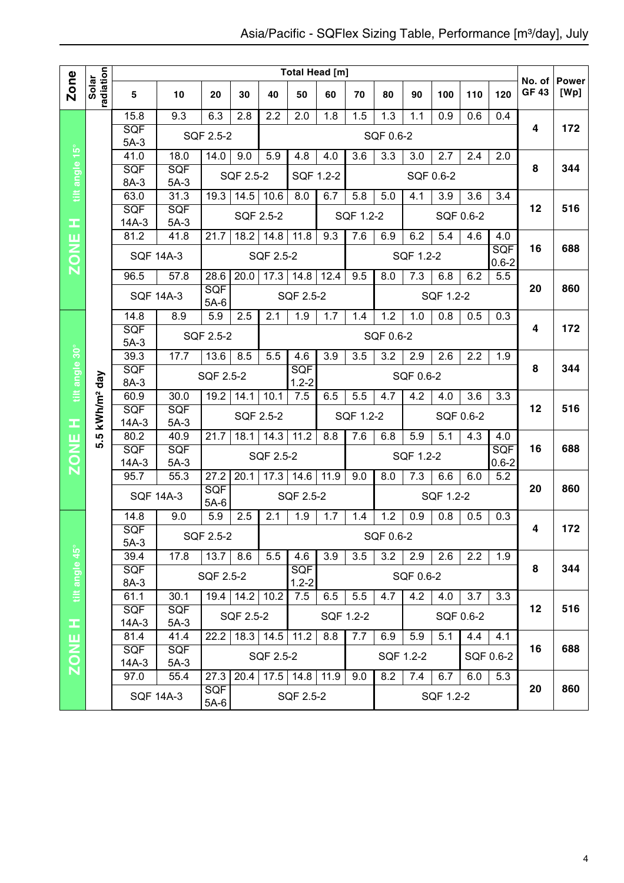|                |                        |                                               |                    |                      |                       |                  | <b>Total Head [m]</b> |           |           |                  |           |           |           |                  |                        |                      |
|----------------|------------------------|-----------------------------------------------|--------------------|----------------------|-----------------------|------------------|-----------------------|-----------|-----------|------------------|-----------|-----------|-----------|------------------|------------------------|----------------------|
| Zone           | radiation<br>Solar     | 5                                             | 10                 | 20                   | 30                    | 40               | 50                    | 60        | 70        | 80               | 90        | 100       | 110       | 120              | No. of<br><b>GF 43</b> | <b>Power</b><br>[Wp] |
|                |                        | 15.8                                          | 9.3                | 6.3                  | 2.8                   | 2.2              | 2.0                   | 1.8       | 1.5       | 1.3              | 1.1       | 0.9       | 0.6       | 0.4              |                        |                      |
|                |                        | <b>SQF</b><br>$5A-3$                          |                    | SQF 2.5-2            |                       |                  |                       |           |           | SQF 0.6-2        |           |           |           |                  | 4                      | 172                  |
|                |                        | 41.0                                          | 18.0               | 14.0                 | 9.0                   | 5.9              | 4.8                   | 4.0       | 3.6       | 3.3              | 3.0       | 2.7       | 2.4       | 2.0              |                        |                      |
| tilt angle 15° |                        | SQF                                           | <b>SQF</b>         |                      | SQF 2.5-2             |                  | SQF 1.2-2             |           |           |                  |           | SQF 0.6-2 |           |                  | 8                      | 344                  |
|                |                        | 8A-3                                          | $5A-3$             |                      |                       |                  |                       |           |           |                  |           |           |           |                  |                        |                      |
|                |                        | 63.0<br>SQF                                   | 31.3<br><b>SQF</b> | 19.3                 | 14.5                  | 10.6             | 8.0                   | 6.7       | 5.8       | 5.0              | 4.1       | 3.9       | 3.6       | 3.4              | 12                     | 516                  |
| ᆂ              |                        | $14A-3$                                       | $5A-3$             |                      | <b>SQF 2.5-2</b>      |                  |                       |           | SQF 1.2-2 |                  |           |           | SQF 0.6-2 |                  |                        |                      |
| ш              |                        | 81.2                                          | 41.8               | 21.7                 | 18.2                  | 14.8             | 11.8                  | 9.3       | 7.6       | 6.9              | 6.2       | 5.4       | 4.6       | 4.0              |                        |                      |
| <b>NOZ</b>     |                        |                                               | <b>SQF 14A-3</b>   |                      |                       | SQF 2.5-2        |                       |           |           |                  | SQF 1.2-2 |           |           | SQF<br>$0.6 - 2$ | 16                     | 688                  |
|                |                        | 96.5                                          | 57.8               | 28.6                 | 20.0                  | 17.3             | 14.8                  | 12.4      | 9.5       | 8.0              | 7.3       | 6.8       | 6.2       | 5.5              |                        |                      |
|                |                        |                                               | <b>SQF 14A-3</b>   | <b>SQF</b><br>$5A-6$ |                       |                  | SQF 2.5-2             |           |           |                  |           | SQF 1.2-2 |           |                  | 20                     | 860                  |
|                |                        | 14.8                                          | 8.9                | 5.9                  | 2.5                   | 2.1              | 1.9                   | 1.7       | 1.4       | 1.2              | 1.0       | 0.8       | 0.5       | 0.3              |                        |                      |
|                |                        | <b>SQF</b>                                    |                    | SQF 2.5-2            |                       |                  |                       |           |           | SQF 0.6-2        |           |           |           |                  | 4                      | 172                  |
|                |                        | $5A-3$<br>39.3                                | 17.7               | 13.6                 | 8.5                   | 5.5              | 4.6                   | 3.9       | 3.5       | 3.2              | 2.9       | 2.6       | 2.2       | 1.9              |                        |                      |
|                |                        | <b>SQF</b>                                    |                    |                      |                       |                  | <b>SQF</b>            |           |           |                  |           |           |           |                  | 8                      | 344                  |
| tilt angle 30° | kWh/m <sup>2</sup> day | 8A-3                                          |                    | SQF 2.5-2            |                       |                  | $1.2 - 2$             |           |           |                  | SQF 0.6-2 |           |           |                  |                        |                      |
|                |                        | 60.9                                          | 30.0               | 19.2                 | 14.1                  | 10.1             | 7.5                   | 6.5       | 5.5       | 4.7              | 4.2       | 4.0       | 3.6       | 3.3              |                        |                      |
|                |                        | <b>SQF</b>                                    | <b>SQF</b>         |                      | <b>SQF 2.5-2</b>      |                  |                       |           | SQF 1.2-2 |                  |           |           | SQF 0.6-2 |                  | 12                     | 516                  |
| œ              | <u>ي</u>               | $14A-3$<br>80.2                               | $5A-3$<br>40.9     | 21.7                 | 18.1                  | 14.3             | 11.2                  | 8.8       | 7.6       | 6.8              | 5.9       | 5.1       | 4.3       | 4.0              |                        |                      |
|                | ທັ                     | SQF                                           | SQF                |                      |                       |                  |                       |           |           |                  |           |           |           | SQF              | 16                     | 688                  |
| <b>ZONE</b>    |                        | $14A-3$                                       | $5A-3$             |                      |                       | <b>SQF 2.5-2</b> |                       |           |           |                  | SQF 1.2-2 |           |           | $0.6 - 2$        |                        |                      |
|                |                        | 95.7                                          | 55.3               | 27.2                 | 20.1                  | 17.3             | 14.6                  | 11.9      | 9.0       | 8.0              | 7.3       | 6.6       | 6.0       | 5.2              |                        |                      |
|                |                        |                                               | <b>SQF 14A-3</b>   | <b>SQF</b><br>$5A-6$ |                       |                  | SQF 2.5-2             |           |           |                  |           | SQF 1.2-2 |           |                  | 20                     | 860                  |
|                |                        | 14.8                                          | 9.0                | 5.9                  | 2.5                   | 2.1              | 1.9                   | 1.7       | 1.4       | 1.2              | 0.9       | 0.8       | 0.5       | 0.3              |                        |                      |
|                |                        | SQF                                           |                    | SQF 2.5-2            |                       |                  |                       |           |           | SQF 0.6-2        |           |           |           |                  | 4                      | 172                  |
|                |                        | $5A-3$<br>39.4                                | 17.8               | 13.7                 |                       | 5.5              |                       |           |           | $\overline{3.2}$ | 2.9       | 2.6       | 2.2       |                  |                        |                      |
| tilt angle 45° |                        | <b>SQF</b>                                    |                    |                      | 8.6                   |                  | 4.6<br><b>SQF</b>     | 3.9       | 3.5       |                  |           |           |           | 1.9              | 8                      | 344                  |
|                |                        | 8A-3                                          |                    | SQF 2.5-2            |                       |                  | $1.2 - 2$             |           |           |                  | SQF 0.6-2 |           |           |                  |                        |                      |
|                |                        | 61.1                                          | 30.1               |                      | $19.4$ 14.2           | 10.2             | 7.5                   | 6.5       | 5.5       | 4.7              | 4.2       | 4.0       | 3.7       | 3.3              |                        |                      |
|                |                        | <b>SQF</b><br><b>SQF</b><br>$14A-3$<br>$5A-3$ |                    |                      | SQF 2.5-2             |                  |                       | SQF 1.2-2 |           |                  |           |           | SQF 0.6-2 |                  | 12                     | 516                  |
| Ŧ<br>ш         |                        | 81.4                                          | 41.4               |                      | $18.3$   14.5<br>22.2 |                  | 11.2                  | 8.8       | 7.7       | 6.9              | 5.9       | 5.1       | 4.4       | 4.1              |                        |                      |
|                |                        | <b>SQF</b><br><b>SQF</b>                      |                    |                      |                       |                  |                       |           |           |                  |           |           |           | 16               | 688                    |                      |
| ZON            |                        | 14A-3                                         | $5A-3$             |                      |                       | SQF 2.5-2        |                       |           |           |                  | SQF 1.2-2 |           |           | SQF 0.6-2        |                        |                      |
|                |                        | 97.0                                          | 55.4               | 27.3                 | 20.4                  |                  | $17.5$ 14.8           | 11.9      | 9.0       | 8.2              | 7.4       | 6.7       | 6.0       | 5.3              |                        |                      |
|                |                        |                                               | <b>SQF 14A-3</b>   | <b>SQF</b><br>$5A-6$ |                       |                  | SQF 2.5-2             |           |           |                  |           | SQF 1.2-2 |           |                  | 20                     | 860                  |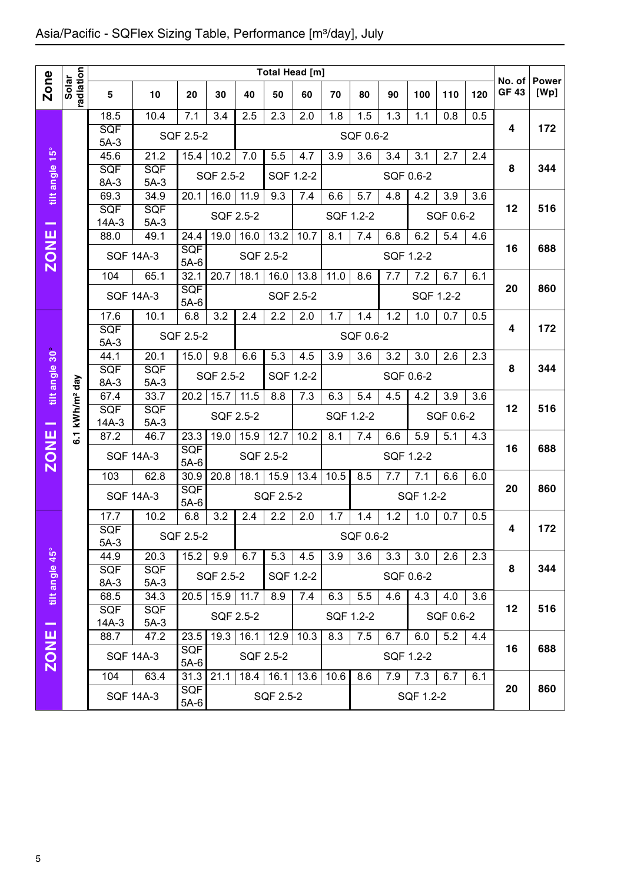|                |                        |                               |                              |                              |                                |                            |                          | Total Head [m]   |                               |                  |                  |                               |                  |     |                       |                      |
|----------------|------------------------|-------------------------------|------------------------------|------------------------------|--------------------------------|----------------------------|--------------------------|------------------|-------------------------------|------------------|------------------|-------------------------------|------------------|-----|-----------------------|----------------------|
| <b>Zone</b>    | radiation<br>Solar     | 5                             | 10                           | 20                           | 30                             | 40                         | 50                       | 60               | 70                            | 80               | 90               | 100                           | 110              | 120 | No. of<br><b>GF43</b> | <b>Power</b><br>[Wp] |
|                |                        | 18.5<br>SQF<br>$5A-3$         | 10.4                         | 7.1<br>SQF 2.5-2             | 3.4                            | 2.5                        | 2.3                      | 2.0              | 1.8                           | 1.5<br>SQF 0.6-2 | 1.3              | 1.1                           | 0.8              | 0.5 | 4                     | 172                  |
| tilt angle 15° |                        | 45.6<br>SQF<br>8A-3           | 21.2<br>SQF<br>$5A-3$        | 15.4                         | $10.\overline{2}$<br>SQF 2.5-2 | 7.0                        | 5.5<br>SQF 1.2-2         | 4.7              | 3.9                           | 3.6              | 3.4              | 3.1<br>SQF 0.6-2              | 2.7              | 2.4 | 8                     | 344                  |
| --             |                        | 69.3<br><b>SQF</b><br>$14A-3$ | 34.9<br>SQF<br>$5A-3$        | 20.1                         | 16.0                           | 11.9<br>SQF 2.5-2          | 9.3                      | 7.4              | $6.\overline{6}$<br>SQF 1.2-2 | 5.7              | 4.8              | 4.2                           | 3.9<br>SQF 0.6-2 | 3.6 | 12                    | 516                  |
| <b>ZONE</b>    |                        | 88.0<br><b>SQF 14A-3</b>      | 49.1                         | 24.4<br><b>SQF</b>           | 19.0                           | 16.0<br>SQF 2.5-2          | 13.2                     | 10.7             | 8.1                           | 7.4              | 6.8              | 6.2<br>SQF 1.2-2              | 5.4              | 4.6 | 16                    | 688                  |
|                |                        | 104<br><b>SQF 14A-3</b>       | 65.1                         | $5A-6$<br>32.1<br><b>SQF</b> | 20.7                           | 18.1                       | 16.0<br>SQF 2.5-2        | 13.8             | 11.0                          | 8.6              | 7.7              | 7.2                           | 6.7<br>SQF 1.2-2 | 6.1 | 20                    | 860                  |
|                |                        | $17.\overline{6}$<br>SQF      | 10.1                         | $5A-6$<br>6.8<br>SQF 2.5-2   | 3.2                            | 2.4                        | 2.2                      | 2.0              | 1.7                           | 1.4<br>SQF 0.6-2 | 1.2              | 1.0                           | 0.7              | 0.5 | 4                     | 172                  |
| tilt angle 30  |                        | $5A-3$<br>44.1<br><b>SQF</b>  | 20.1<br>SQF                  | 15.0                         | 9.8<br>SQF 2.5-2               | 6.6                        | 5.3                      | 4.5              | 3.9                           | 3.6              | 3.2              | 3.0                           | 2.6              | 2.3 | 8                     | 344                  |
|                | kWh/m <sup>2</sup> day | 8A-3<br>67.4<br><b>SQF</b>    | $5A-3$<br>33.7<br><b>SQF</b> | 20.2                         | 15.7                           | 11.5                       | SQF 1.2-2<br>8.8         | 7.3              | 6.3                           | 5.4              | $\overline{4.5}$ | SQF 0.6-2<br>$\overline{4.2}$ | $\overline{3.9}$ | 3.6 | 12                    | 516                  |
|                | $\overline{6}$ .       | $14A-3$<br>87.2               | $5A-3$<br>46.7               | 23.3                         | 19.0                           | SQF 2.5-2<br>15.9          | 12.7                     | 10.2             | SQF 1.2-2<br>8.1              | 7.4              | 6.6              | 5.9                           | SQF 0.6-2<br>5.1 | 4.3 | 16                    | 688                  |
| <b>ZONE</b>    |                        | <b>SQF 14A-3</b><br>103       | 62.8                         | <b>SQF</b><br>$5A-6$<br>30.9 | 20.8                           | SQF 2.5-2<br>18.1          | 15.9                     | 13.4             | 10.5                          | 8.5              | 7.7              | SQF 1.2-2<br>7.1              | 6.6              | 6.0 |                       |                      |
|                |                        | <b>SQF 14A-3</b>              |                              | SQF<br>$5A-6$                |                                |                            | SQF 2.5-2                |                  |                               |                  |                  | SQF 1.2-2                     |                  |     | 20                    | 860                  |
|                |                        | 17.7<br>SQF<br>$5A-3$         | 10.2                         | 6.8<br>SQF 2.5-2             | 3.2                            | 2.4                        | 2.2                      | 2.0              | 1.7                           | 1.4<br>SQF 0.6-2 | 1.2              | 1.0                           | 0.7              | 0.5 | 4                     | 172                  |
| tilt angle 45° |                        | 44.9<br><b>SQF</b><br>8A-3    | 20.3<br><b>SQF</b><br>$5A-3$ | 15.2                         | 9.9<br>SQF 2.5-2               | 6.7                        | 5.3                      | 4.5<br>SQF 1.2-2 | 3.9                           | 3.6              | 3.3              | 3.0<br>SQF 0.6-2              | 2.6              | 2.3 | 8                     | 344                  |
|                |                        | 68.5<br><b>SQF</b><br>14A-3   | 34.3<br>SQF<br>$5A-3$        | 20.5                         |                                | $15.9$   11.7<br>SQF 2.5-2 | 8.9                      | 7.4              | 6.3                           | 5.5<br>SQF 1.2-2 | 4.6              | 4.3                           | 4.0<br>SQF 0.6-2 | 3.6 | 12                    | 516                  |
| <b>ZONE</b>    |                        | 88.7<br><b>SQF 14A-3</b>      | 47.2                         | 23.5<br><b>SQF</b><br>$5A-6$ | 19.3                           | 16.1<br>SQF 2.5-2          | 12.9                     | 10.3             | 8.3                           | 7.5              | 6.7              | 6.0<br>SQF 1.2-2              | 5.2              | 4.4 | 16                    | 688                  |
|                |                        | 104                           | 63.4<br><b>SQF 14A-3</b>     | 31.3<br><b>SQF</b><br>$5A-6$ | 21.1                           | 18.4                       | $16.1$ 13.6<br>SQF 2.5-2 |                  | 10.6                          | 8.6              | 7.9              | 7.3<br>SQF 1.2-2              | 6.7              | 6.1 | 20                    | 860                  |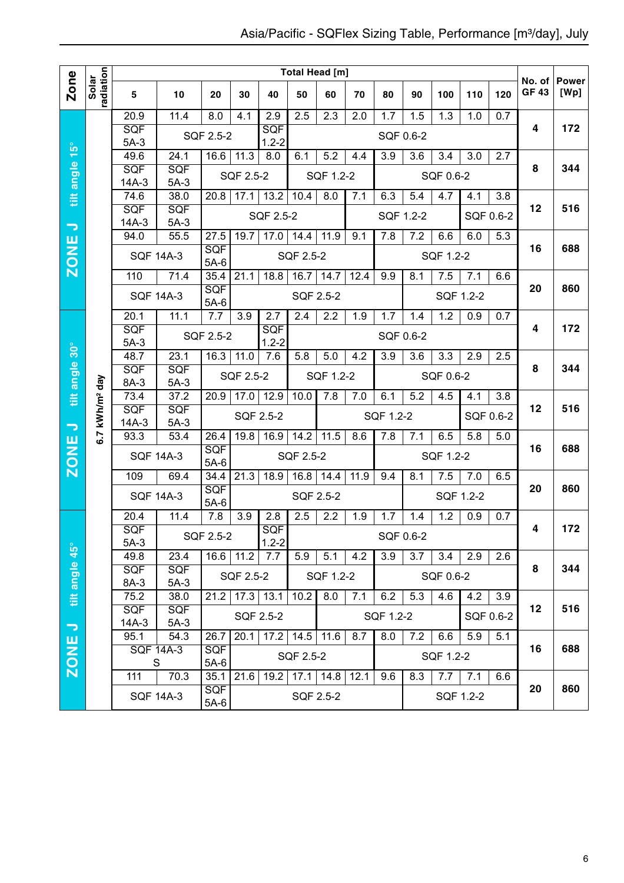|                          |                            |                       |                      |                      |                        |                         | <b>Total Head [m]</b> |                  |                   |           |           |           |           |           | No. of       | <b>Power</b> |
|--------------------------|----------------------------|-----------------------|----------------------|----------------------|------------------------|-------------------------|-----------------------|------------------|-------------------|-----------|-----------|-----------|-----------|-----------|--------------|--------------|
| Zone                     | radiation<br>Solar         | 5                     | 10                   | 20                   | 30                     | 40                      | 50                    | 60               | 70                | 80        | 90        | 100       | 110       | 120       | <b>GF 43</b> | [Wp]         |
|                          |                            | 20.9                  | 11.4                 | 8.0                  | 4.1                    | 2.9                     | 2.5                   | $\overline{2.3}$ | 2.0               | 1.7       | 1.5       | 1.3       | 1.0       | 0.7       |              |              |
|                          |                            | <b>SQF</b><br>$5A-3$  |                      | SQF 2.5-2            |                        | <b>SQF</b><br>$1.2 - 2$ |                       |                  |                   |           | SQF 0.6-2 |           |           |           | 4            | 172          |
|                          |                            | 49.6                  | 24.1                 | 16.6                 | 11.3                   | 8.0                     | 6.1                   | 5.2              | 4.4               | 3.9       | 3.6       | 3.4       | 3.0       | 2.7       |              |              |
| tilt angle 15°           |                            | <b>SQF</b>            | <b>SQF</b>           |                      | SQF 2.5-2              |                         |                       | SQF 1.2-2        |                   |           |           | SQF 0.6-2 |           |           | 8            | 344          |
|                          |                            | $14A-3$<br>74.6       | $5A-3$<br>38.0       | 20.8                 | 17.1                   | 13.2                    | 10.4                  | 8.0              | 7.1               | 6.3       | 5.4       | 4.7       | 4.1       | 3.8       |              |              |
|                          |                            | SQF                   | <b>SQF</b>           |                      |                        |                         |                       |                  |                   |           |           |           |           |           | 12           | 516          |
| $\overline{\phantom{0}}$ |                            | $14A-3$               | $5A-3$               |                      |                        | SQF 2.5-2               |                       |                  |                   |           | SQF 1.2-2 |           |           | SQF 0.6-2 |              |              |
|                          |                            | 94.0                  | 55.5                 | 27.5                 | 19.7                   | 17.0                    | 14.4                  | 11.9             | 9.1               | 7.8       | 7.2       | 6.6       | 6.0       | 5.3       |              |              |
| <b>ZONE</b>              |                            |                       | <b>SQF 14A-3</b>     | SQF<br>$5A-6$        |                        |                         | SQF 2.5-2             |                  |                   |           |           | SQF 1.2-2 |           |           | 16           | 688          |
|                          |                            | $\overline{110}$      | 71.4                 | 35.4                 | 21.1                   | 18.8                    | 16.7                  | 14.7             | 12.4              | 9.9       | 8.1       | 7.5       | 7.1       | 6.6       |              |              |
|                          |                            |                       | <b>SQF 14A-3</b>     | SQF<br>$5A-6$        |                        |                         | SQF 2.5-2             |                  |                   |           |           |           | SQF 1.2-2 |           | 20           | 860          |
|                          |                            | 20.1                  | 11.1                 | 7.7                  | 3.9                    | 2.7                     | 2.4                   | 2.2              | 1.9               | 1.7       | 1.4       | 1.2       | 0.9       | 0.7       |              |              |
|                          |                            | SQF                   |                      | SQF 2.5-2            |                        | SQF<br>$1.2 - 2$        |                       |                  |                   |           | SQF 0.6-2 |           |           |           | 4            | 172          |
| tilt angle 30°           |                            | $5A-3$<br>48.7        | 23.1                 | 16.3                 | 11.0                   | 7.6                     | 5.8                   | 5.0              | 4.2               | 3.9       | 3.6       | 3.3       | 2.9       | 2.5       |              |              |
|                          |                            | SQF                   | <b>SQF</b>           |                      |                        |                         |                       | SQF 1.2-2        |                   |           |           | SQF 0.6-2 |           |           | 8            | 344          |
|                          |                            | 8A-3                  | $5A-3$               |                      | SQF 2.5-2              |                         |                       |                  |                   |           |           |           |           |           |              |              |
|                          |                            | 73.4<br><b>SQF</b>    | 37.2<br><b>SQF</b>   | 20.9                 | 17.0                   | 12.9                    | 10.0                  | 7.8              | 7.0               | 6.1       | 5.2       | 4.5       | 4.1       | 3.8       | 12           | 516          |
|                          |                            | $14A-3$               | $5A-3$               |                      |                        | SQF 2.5-2               |                       |                  |                   | SQF 1.2-2 |           |           |           | SQF 0.6-2 |              |              |
| $\overline{\phantom{0}}$ | 6.7 kWh/m <sup>2</sup> day | 93.3                  | 53.4                 | 26.4                 | 19.8                   | 16.9                    | $\overline{14.2}$     | 11.5             | 8.6               | 7.8       | 7.1       | 6.5       | 5.8       | 5.0       |              |              |
| <b>ZONE</b>              |                            |                       | <b>SQF 14A-3</b>     | <b>SQF</b><br>$5A-6$ |                        |                         | SQF 2.5-2             |                  |                   |           |           | SQF 1.2-2 |           |           | 16           | 688          |
|                          |                            | 109                   | 69.4                 | 34.4                 | 21.3                   | 18.9                    | 16.8                  | 14.4             | $\overline{1}1.9$ | 9.4       | 8.1       | 7.5       | 7.0       | 6.5       |              |              |
|                          |                            |                       | <b>SQF 14A-3</b>     | SQF<br>$5A-6$        |                        |                         | SQF 2.5-2             |                  |                   |           |           |           | SQF 1.2-2 |           | 20           | 860          |
|                          |                            | 20.4                  | 11.4                 | 7.8                  | 3.9                    | 2.8                     | 2.5                   | 2.2              | 1.9               | 1.7       | 1.4       | 1.2       | 0.9       | 0.7       |              |              |
|                          |                            | SQF<br>$5A-3$         |                      | SQF 2.5-2            |                        | SQF<br>$1.2 - 2$        |                       |                  |                   |           | SQF 0.6-2 |           |           |           | 4            | 172          |
|                          |                            | 49.8                  | 23.4                 |                      | $16.6$ 11.2            | 7.7                     | 5.9                   | 5.1              | 4.2               | 3.9       | 3.7       | 3.4       | 2.9       | 2.6       |              |              |
| tilt angle 45°           |                            | SQF<br>8A-3           | SQF<br>$5A-3$        |                      | SQF 2.5-2              |                         |                       | SQF 1.2-2        |                   |           |           | SQF 0.6-2 |           |           | 8            | 344          |
|                          |                            | 75.2                  | 38.0                 | 21.2                 | $\overline{17.3}$ 13.1 |                         | 10.2                  | 8.0              | 7.1               | 6.2       | 5.3       | 4.6       | 4.2       | 3.9       |              |              |
| $\overline{\phantom{m}}$ |                            | <b>SQF</b><br>$14A-3$ | <b>SQF</b><br>$5A-3$ |                      |                        | SQF 2.5-2               |                       |                  |                   | SQF 1.2-2 |           |           |           | SQF 0.6-2 | 12           | 516          |
|                          |                            | 95.1                  | 54.3                 | 26.7                 | 20.1                   |                         | $17.2$ 14.5           | 11.6             | 8.7               | 8.0       | 7.2       | 6.6       | 5.9       | 5.1       |              |              |
|                          |                            |                       | <b>SQF 14A-3</b>     | <b>SQF</b>           |                        |                         | SQF 2.5-2             |                  |                   |           |           | SQF 1.2-2 |           |           | 16           | 688          |
| ZONE                     |                            | S<br>111              | $\overline{7}0.3$    | $5A-6$<br>35.1       | 21.6                   | 19.2                    |                       | $17.1$ 14.8      | 12.1              | 9.6       | 8.3       | 7.7       | 7.1       | 6.6       |              |              |
|                          |                            |                       | <b>SQF 14A-3</b>     | <b>SQF</b><br>$5A-6$ |                        |                         | SQF 2.5-2             |                  |                   |           |           |           | SQF 1.2-2 |           | 20           | 860          |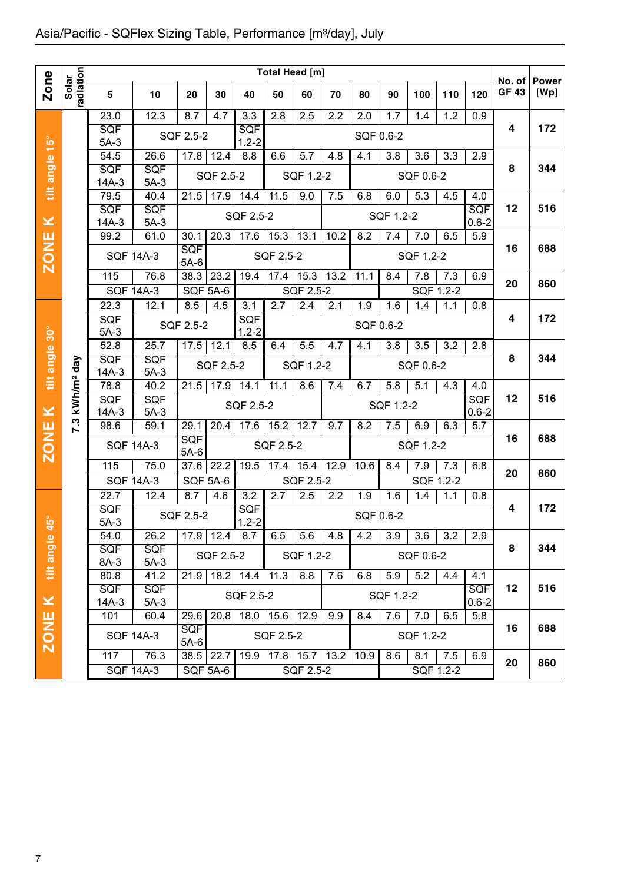|                |                    |                                                  |                    |                      |                   |                         |                  | Total Head [m] |      |           |                  |           |                  |            |                        |                      |
|----------------|--------------------|--------------------------------------------------|--------------------|----------------------|-------------------|-------------------------|------------------|----------------|------|-----------|------------------|-----------|------------------|------------|------------------------|----------------------|
| Zone           | radiation<br>Solar | 5                                                | 10                 | 20                   | 30                | 40                      | 50               | 60             | 70   | 80        | 90               | 100       | 110              | 120        | No. of<br><b>GF 43</b> | <b>Power</b><br>[Wp] |
|                |                    | 23.0                                             | 12.3               | 8.7                  | 4.7               | $\overline{3.3}$        | 2.8              | 2.5            | 2.2  | 2.0       | 1.7              | 1.4       | 1.2              | 0.9        |                        |                      |
|                |                    | <b>SQF</b>                                       |                    | SQF 2.5-2            |                   | <b>SQF</b>              |                  |                |      | SQF 0.6-2 |                  |           |                  |            | 4                      | 172                  |
| tilt angle 15° |                    | $5A-3$                                           | 26.6               |                      |                   | $1.2 - 2$<br>8.8        | 6.6              | 5.7            | 4.8  |           | 3.8              | 3.6       | 3.3              | 2.9        |                        |                      |
|                |                    | 54.5<br>SQF                                      | SQF                | 17.8                 | 12.4              |                         |                  |                |      | 4.1       |                  |           |                  |            | 8                      | 344                  |
|                |                    | $14A-3$                                          | $5A-3$             |                      | SQF 2.5-2         |                         |                  | SQF 1.2-2      |      |           |                  | SQF 0.6-2 |                  |            |                        |                      |
|                |                    | 79.5                                             | 40.4               | $21.\overline{5}$    | 17.9              | 14.4                    | 11.5             | 9.0            | 7.5  | 6.8       | 6.0              | 5.3       | 4.5              | 4.0        |                        |                      |
|                |                    | SQF                                              | <b>SQF</b>         |                      |                   | SQF 2.5-2               |                  |                |      |           | SQF 1.2-2        |           |                  | <b>SQF</b> | 12                     | 516                  |
| $\geq$         |                    | $14A-3$                                          | $5A-3$             |                      |                   |                         |                  |                |      |           |                  |           |                  | $0.6 - 2$  |                        |                      |
|                |                    | 99.2                                             | 61.0               | 30.1                 | 20.3              | 17.6                    | 15.3             | 13.1           | 10.2 | 8.2       | 7.4              | 7.0       | 6.5              | 5.9        |                        |                      |
| <b>ZONE</b>    |                    |                                                  | <b>SQF 14A-3</b>   | <b>SQF</b><br>$5A-6$ |                   |                         | SQF 2.5-2        |                |      |           |                  | SQF 1.2-2 |                  |            | 16                     | 688                  |
|                |                    | 115                                              | 76.8               | 38.3                 | 23.2              | 19.4                    | 17.4             | 15.3           | 13.2 | 11.1      | 8.4              | 7.8       | $\overline{7.3}$ | 6.9        | 20                     | 860                  |
|                |                    |                                                  | <b>SQF 14A-3</b>   | <b>SQF 5A-6</b>      |                   |                         |                  | SQF 2.5-2      |      |           |                  |           | SQF 1.2-2        |            |                        |                      |
|                |                    | 22.3                                             | 12.1               | 8.5                  | 4.5               | 3.1                     | 2.7              | 2.4            | 2.1  | 1.9       | 1.6              | 1.4       | 1.1              | 0.8        |                        |                      |
|                |                    | SQF                                              |                    | SQF 2.5-2            |                   | <b>SQF</b>              |                  |                |      | SQF 0.6-2 |                  |           |                  |            | 4                      | 172                  |
|                |                    | $5A-3$                                           |                    |                      |                   | $1.2 - 2$               |                  |                |      |           |                  |           |                  |            |                        |                      |
| tilt angle 30° |                    | 52.8<br>SQF                                      | 25.7<br><b>SQF</b> | 17.5                 | 12.1              | 8.5                     | 6.4              | 5.5            | 4.7  | 4.1       | $\overline{3.8}$ | 3.5       | 3.2              | 2.8        | 8                      | 344                  |
|                | day                | $14A-3$                                          | SQF 2.5-2          |                      |                   | SQF 1.2-2               |                  |                |      | SQF 0.6-2 |                  |           |                  |            |                        |                      |
|                | kWh/m <sup>2</sup> | 78.8                                             | $5A-3$<br>40.2     | 21.5                 | 17.9              | 14.1                    | 11.1             | 8.6            | 7.4  | 6.7       | 5.8              | 5.1       | 4.3              | 4.0        |                        |                      |
|                |                    | SQF                                              | <b>SQF</b>         |                      |                   | SQF 2.5-2               |                  |                |      |           | SQF 1.2-2        |           |                  | <b>SQF</b> | 12                     | 516                  |
| $\geq$         |                    | $14A-3$                                          | $5A-3$             |                      |                   |                         |                  |                |      |           |                  |           |                  | $0.6 - 2$  |                        |                      |
|                | 7.3                | 98.6                                             | 59.1               | 29.1                 | 20.4              | 17.6                    | 15.2             | 12.7           | 9.7  | 8.2       | 7.5              | 6.9       | 6.3              | 5.7        |                        |                      |
| <b>ZONE</b>    |                    |                                                  | <b>SQF 14A-3</b>   | <b>SQF</b><br>$5A-6$ |                   |                         | SQF 2.5-2        |                |      |           |                  | SQF 1.2-2 |                  |            | 16                     | 688                  |
|                |                    | 115                                              | 75.0               | 37.6                 | 22.2              | 19.5                    | 17.4             | 15.4           | 12.9 | 10.6      | 8.4              | 7.9       | 7.3              | 6.8        | 20                     | 860                  |
|                |                    | <b>SQF 14A-3</b>                                 |                    | <b>SQF 5A-6</b>      |                   |                         |                  | SQF 2.5-2      |      |           |                  |           | SQF 1.2-2        |            |                        |                      |
|                |                    | 22.7                                             | 12.4               | 8.7                  | 4.6               | $\overline{3.2}$        | $\overline{2.7}$ | 2.5            | 2.2  | 1.9       | 1.6              | 1.4       | 1.1              | 0.8        |                        |                      |
| $\frac{1}{2}$  |                    | SQF<br>$5A-3$                                    |                    | SQF 2.5-2            |                   | <b>SQF</b><br>$1.2 - 2$ |                  |                |      | SQF 0.6-2 |                  |           |                  |            | 4                      | 172                  |
|                |                    | 54.0                                             | 26.2               |                      | $17.9$   12.4     | 8.7                     | 6.5              | 5.6            | 4.8  | 4.2       | 3.9              | 3.6       | 3.2              | 2.9        |                        |                      |
| tilt angle     |                    |                                                  |                    |                      |                   |                         |                  |                |      |           |                  |           |                  |            | 8                      | 344                  |
|                |                    | SQF<br><b>SQF</b><br>SQF 2.5-2<br>8A-3<br>$5A-3$ |                    |                      |                   |                         | SQF 1.2-2        |                |      |           | SQF 0.6-2        |           |                  |            |                        |                      |
|                |                    | 80.8                                             | 41.2               |                      |                   | 21.9 18.2 14.4          | 11.3             | 8.8            | 7.6  | 6.8       | 5.9              | 5.2       | 4.4              | 4.1        |                        |                      |
|                |                    | <b>SQF</b>                                       | <b>SQF</b>         |                      |                   | SQF 2.5-2               |                  |                |      |           | SQF 1.2-2        |           |                  | <b>SQF</b> | 12                     | 516                  |
| $\pmb{\times}$ |                    | 14A-3                                            | $5A-3$             |                      |                   |                         |                  |                |      |           |                  |           |                  | $0.6 - 2$  |                        |                      |
|                |                    | 101                                              | 60.4               | 29.6<br><b>SQF</b>   | $20.\overline{8}$ | 18.0                    | 15.6             | 12.9           | 9.9  | 8.4       | 7.6              | 7.0       | 6.5              | 5.8        | 16                     | 688                  |
| <b>ZONE</b>    |                    |                                                  | <b>SQF 14A-3</b>   | $5A-6$               |                   |                         | SQF 2.5-2        |                |      |           |                  | SQF 1.2-2 |                  |            |                        |                      |
|                |                    | 117                                              | 76.3               |                      | $38.5$ 22.7       | 19.9                    | 17.8             | 15.7           | 13.2 | 10.9      | 8.6              | 8.1       | 7.5              | 6.9        |                        |                      |
|                |                    |                                                  | <b>SQF 14A-3</b>   |                      | <b>SQF 5A-6</b>   |                         |                  | SQF 2.5-2      |      |           |                  |           | SQF 1.2-2        |            | 20                     | 860                  |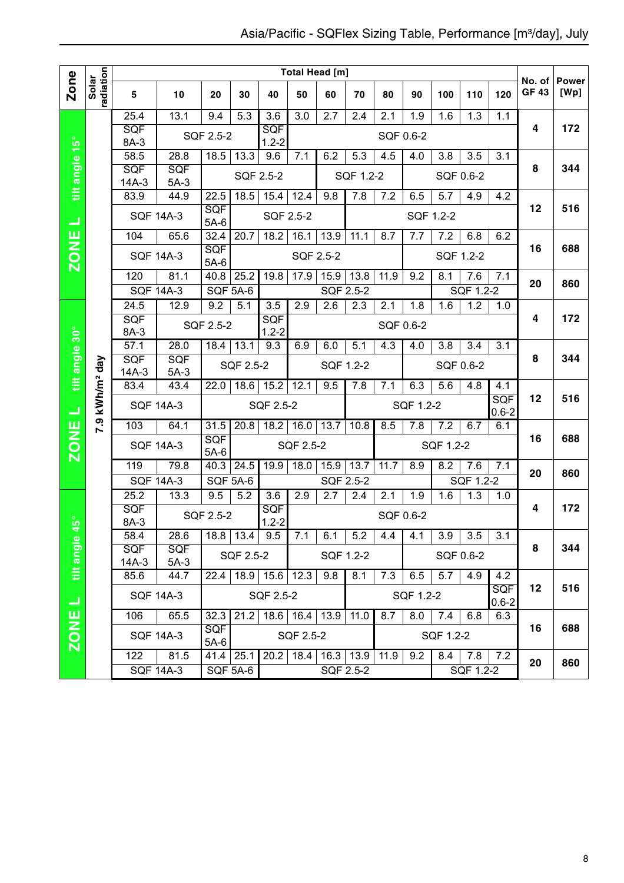|                |                        |                          |                      |                      |                     |                         |                    | Total Head [m]              |           |           |                  |           |           |                         |                        |                      |
|----------------|------------------------|--------------------------|----------------------|----------------------|---------------------|-------------------------|--------------------|-----------------------------|-----------|-----------|------------------|-----------|-----------|-------------------------|------------------------|----------------------|
| Zone           | radiation<br>Solar     | 5                        | 10                   | 20                   | 30                  | 40                      | 50                 | 60                          | 70        | 80        | 90               | 100       | 110       | 120                     | No. of<br><b>GF 43</b> | <b>Power</b><br>[Wp] |
|                |                        | 25.4                     | 13.1                 | 9.4                  | 5.3                 | 3.6                     | 3.0                | 2.7                         | 2.4       | 2.1       | 1.9              | 1.6       | 1.3       | 1.1                     |                        |                      |
|                |                        | <b>SQF</b><br>8A-3       |                      | SQF 2.5-2            |                     | <b>SQF</b><br>$1.2 - 2$ |                    |                             |           |           | SQF 0.6-2        |           |           |                         | 4                      | 172                  |
|                |                        | 58.5                     | 28.8                 | 18.5                 | 13.3                | 9.6                     | 7.1                | 6.2                         | 5.3       | 4.5       | 4.0              | 3.8       | 3.5       | 3.1                     |                        |                      |
| tilt angle 15° |                        | SQF                      | <b>SQF</b>           |                      |                     | SQF 2.5-2               |                    |                             | SQF 1.2-2 |           |                  |           | SQF 0.6-2 |                         | 8                      | 344                  |
|                |                        | $14A-3$<br>83.9          | $5A-3$<br>44.9       | 22.5                 | 18.5                | 15.4                    | 12.4               | 9.8                         | 7.8       | 7.2       | 6.5              | 5.7       | 4.9       | 4.2                     |                        |                      |
|                |                        |                          | <b>SQF 14A-3</b>     | <b>SQF</b>           |                     | SQF 2.5-2               |                    |                             |           |           | SQF 1.2-2        |           |           |                         | 12                     | 516                  |
| ᆜ              |                        | 104                      | 65.6                 | $5A-6$<br>32.4       | 20.7                | 18.2                    | 16.1               | 13.9                        | 11.1      | 8.7       | 7.7              | 7.2       | 6.8       | 6.2                     |                        |                      |
| <b>ZONE</b>    |                        |                          |                      | SQF                  |                     |                         |                    |                             |           |           |                  |           |           |                         | 16                     | 688                  |
|                |                        |                          | <b>SQF 14A-3</b>     | $5A-6$               |                     |                         | SQF 2.5-2          |                             |           |           |                  |           | SQF 1.2-2 |                         |                        |                      |
|                |                        | 120                      | 81.1                 | 40.8                 | 25.2                | 19.8                    | 17.9               | 15.9                        | 13.8      | 11.9      | 9.2              | 8.1       | 7.6       | 7.1                     | 20                     | 860                  |
|                |                        | <b>SQF 14A-3</b>         |                      | SQF 5A-6             |                     |                         |                    | SQF 2.5-2                   |           |           |                  |           | SQF 1.2-2 |                         |                        |                      |
|                |                        | 24.5                     | 12.9                 | 9.2                  | 5.1                 | 3.5                     | 2.9                | 2.6                         | 2.3       | 2.1       | 1.8              | 1.6       | 1.2       | 1.0                     | 4                      | 172                  |
|                |                        | <b>SQF</b><br>8A-3       |                      | SQF 2.5-2            |                     | SQF<br>$1.2 - 2$        |                    |                             |           | SQF 0.6-2 |                  |           |           |                         |                        |                      |
|                |                        | 57.1                     | 28.0                 | 18.4                 | 13.1                | 9.3                     | 6.9                | 6.0                         | 5.1       | 4.3       | 4.0              | 3.8       | 3.4       | 3.1                     |                        |                      |
| tilt angle 30° |                        | SQF                      | SQF                  |                      | SQF 2.5-2           |                         |                    |                             | SQF 1.2-2 |           |                  |           | SQF 0.6-2 |                         | 8                      | 344                  |
|                |                        | $14A-3$                  | $5A-3$               |                      |                     |                         |                    |                             |           |           |                  |           |           |                         |                        |                      |
|                | kWh/m <sup>2</sup> day | 83.4<br><b>SQF 14A-3</b> | 43.4                 | 22.0                 | 18.6                | 15.2<br>SQF 2.5-2       | 12.1               | 9.5                         | 7.8       | 7.1       | 6.3<br>SQF 1.2-2 | 5.6       | 4.8       | 4.1<br>SQF              | 12                     | 516                  |
| ᆜ              | 7.9                    | 103                      | 64.1                 | 31.5                 | 20.8                | 18.2                    | 16.0               | 13.7                        | 10.8      | 8.5       | 7.8              | 7.2       | 6.7       | $0.6 - 2$<br>6.1        |                        |                      |
|                |                        |                          |                      | <b>SQF</b>           |                     |                         |                    |                             |           |           |                  |           |           |                         | 16                     | 688                  |
| <b>ZONE</b>    |                        |                          | <b>SQF 14A-3</b>     | $5A-6$               |                     |                         | SQF 2.5-2          |                             |           |           |                  | SQF 1.2-2 |           |                         |                        |                      |
|                |                        | 119                      | 79.8                 | 40.3                 | 24.5                | 19.9                    | 18.0               | 15.9                        | 13.7      | 11.7      | 8.9              | 8.2       | 7.6       | 7.1                     | 20                     | 860                  |
|                |                        |                          | <b>SQF 14A-3</b>     | SQF 5A-6             |                     |                         |                    |                             | SQF 2.5-2 |           |                  |           | SQF 1.2-2 |                         |                        |                      |
|                |                        | 25.2<br>SQF              | 13.3                 | 9.5                  | 5.2                 | 3.6<br><b>SQF</b>       | 2.9                | 2.7                         | 2.4       | 2.1       | 1.9              | 1.6       | 1.3       | 1.0                     | 4                      | 172                  |
| $45^{\circ}$   |                        | 8A-3                     |                      | SQF 2.5-2            |                     | $1.2 - 2$               |                    |                             |           |           | SQF 0.6-2        |           |           |                         |                        |                      |
|                |                        | 58.4                     | 28.6                 |                      | $18.8$   13.4   9.5 |                         | 7.1                | 6.1                         | 5.2       | 4.4       | 4.1              | 3.9       | 3.5       | 3.1                     |                        |                      |
| tilt angle     |                        | <b>SQF</b><br>$14A-3$    | <b>SQF</b><br>$5A-3$ |                      | SQF 2.5-2           |                         |                    |                             | SQF 1.2-2 |           |                  |           | SQF 0.6-2 |                         | 8                      | 344                  |
|                |                        | 85.6                     | 44.7                 | 22.4                 | 18.9                | 15.6                    | 12.3               | 9.8                         | 8.1       | 7.3       | 6.5              | 5.7       | 4.9       | 4.2                     |                        |                      |
| コ              |                        |                          | <b>SQF 14A-3</b>     |                      |                     | SQF 2.5-2               |                    |                             |           |           | SQF 1.2-2        |           |           | <b>SQF</b><br>$0.6 - 2$ | 12                     | 516                  |
|                |                        | 106                      | 65.5                 | 32.3                 | 21.2                |                         | 18.6   16.4   13.9 |                             | 11.0      | 8.7       | 8.0              | 7.4       | 6.8       | 6.3                     |                        |                      |
| <b>ZONE</b>    |                        |                          | <b>SQF 14A-3</b>     | <b>SQF</b><br>$5A-6$ |                     |                         | SQF 2.5-2          |                             |           |           |                  | SQF 1.2-2 |           |                         | 16                     | 688                  |
|                |                        | 122                      | 81.5                 |                      | $41.4$ 25.1         |                         |                    | $20.2$   18.4   16.3   13.9 |           | 11.9      | 9.2              | 8.4       | 7.8       | 7.2                     |                        |                      |
|                |                        |                          | <b>SQF 14A-3</b>     |                      | <b>SQF 5A-6</b>     |                         |                    |                             | SQF 2.5-2 |           |                  |           | SQF 1.2-2 |                         | 20                     | 860                  |